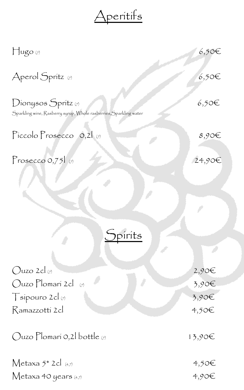Aperitifs

| $\prod_{\alpha}$ ugo (7)                                                                 | $6,50 \in$ |
|------------------------------------------------------------------------------------------|------------|
| Aperol Spritz (7)                                                                        | $6,50$ €   |
| Dionysos Spritz (7)<br>Sparkling wine, Rasberry syrup, Whole rasberries, Sparkling water | $6,50$ €   |
| Piccolo Prosecco $0, 2$                                                                  | $8,90 \in$ |
| Prosecco $0,75$                                                                          | 24,9       |

Spirits

| $Quzo 2cl$ <sub>(7)</sub> | $2,90\infty$ |
|---------------------------|--------------|
| $Quzo Plomari 2cl$ (7)    | 3,90         |
| $T$ sípouro 2cl (7)       | 3,90         |
| Ramazzottí 2cl            | $4,50$ €     |
|                           |              |

Ouzo Plomarí 0,2l bottle (7) 13,90€

Metaxa  $5^*$  2cl (4,7) 4,50€  $Metaxa 40 years (4,7)$  4,90€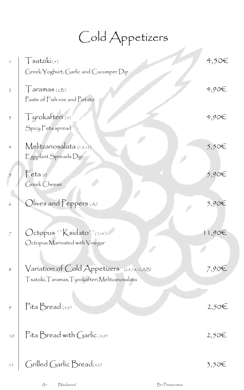Cold Appetizers

| $\mathfrak{f}% _{0}\left( \mathfrak{f}\right)$ | $\int$ satziki(4)<br>Greek Yoghurt, Garlic and Cucumper Dip                                      | 4,50€      |
|------------------------------------------------|--------------------------------------------------------------------------------------------------|------------|
| $\overline{2}$                                 | $\int$ aramas (2,B)<br>Paste of Fish roe and Potato                                              | $4,90 \in$ |
| $\overline{\mathfrak{Z}}$                      | Tyrokafteri(+)<br>Spicy Feta spread                                                              | 4,90E      |
| 4                                              | Melitzanosalata $(7,8,12)$<br>Eggplant Spreads Dip                                               | 5,50€      |
|                                                | $\Gamma$ eta $(4)$<br>Greek Cheese                                                               | 5,90€      |
| 6                                              | $Olives$ and $Peppers$ (A)                                                                       | 5,90€      |
| 7                                              | Octopus "Ksidato" (7,14)<br>Octopus Marinated with Vinegar                                       | 11,90€     |
| 8                                              | Variation of Cold Appetizers (2,4,7,8,12,A,B)<br>Tsatziki, Taramas, Tyrokafteri, Melitzanosalata | 7,90t      |
| 9                                              | $P$ íta Bread (4,9)                                                                              | 2,50€      |
| $1^{\circ}$                                    | Pita Bread with Garlic $(4,9)$                                                                   | $2,50 \in$ |
| 11                                             | $Grilled$ Garlic $\beta$ read $_{(*,9)}$                                                         | $3,50$ €   |

A= Blackened B= Preservative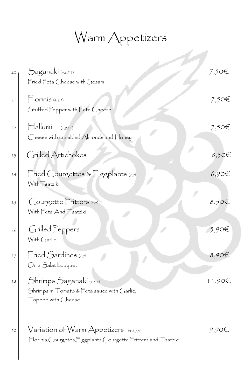#### Warm Appetizers

A.M

| 20   | Saganaki (4,6,7,9)<br>Fried Feta Cheese with Sesam                                                                          | 7,50€      |
|------|-----------------------------------------------------------------------------------------------------------------------------|------------|
| $21$ | $\Box$ orinis $(4,6,7)$<br>Stuffed Pepper with Feta Cheese                                                                  | 7,50€      |
| $22$ | $\Box$ allumi<br>(4,9,11)<br>Cheese with crambled Almonds and Honey                                                         | 7,50€      |
| 23   | Grilled Artichokes                                                                                                          | 8,50€      |
| 24   | Fried Courgettes & Eggplants (7,9)<br>With Tsatzíkí                                                                         | $6,90 \in$ |
| 25   | Courgette Fritters (4,9)<br>With Feta And Tsatziki                                                                          | 8,50€      |
| $26$ | Grilled Peppers<br>With Garlic                                                                                              | 5,90€      |
| 27   | Fried Sardines (2,9)<br>On a Salat bouquet                                                                                  | 8,90€      |
| 28   | Shrimps Saganaki (1,3,4)<br>Shrimps in $\top$ omato & $\overline{\Gamma}$ eta sauce with Garlic,<br>Topped with Cheese      | 11,90€     |
| 30   | $\sqrt{a}$ ríatíon of $\sqrt{a}$ rm Appetízers (4,6,7,9)<br>Florinis, Courgetes, Eggplants, Courgette Fritters and Tsatziki | $9,90$ t   |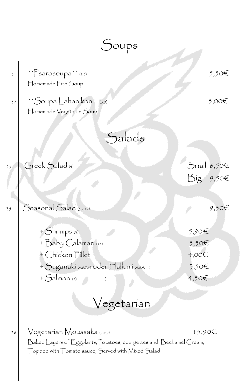|          | $\bigcup$ oups                                                                                                                                                                               |                                           |
|----------|----------------------------------------------------------------------------------------------------------------------------------------------------------------------------------------------|-------------------------------------------|
| 31<br>32 | $\lq$ <sup>'</sup> $\lq$ Sarosoupa'' (2,5)<br>Homemade Fish Soup<br>"Soupa Lahaníkon" (5,9)<br>Homemade Vegetable Soup                                                                       | 5,50€<br>5,00€                            |
|          | Salads                                                                                                                                                                                       |                                           |
| 33       | Greek Salad (4)                                                                                                                                                                              | Small $6,50$ €<br>Big $9,50$ €            |
| 35       | Seasonal Salad (5,7,12)                                                                                                                                                                      | 9,50€                                     |
|          | + Shrimps (3)<br>+ Baby Calamarí (14)<br>+ Chicken Fillet<br>+ Saganakí (4,6,7,9) oder Hallumí (4,6,9,11)<br>$+$ Salmon (2)<br>Vegetarian                                                    | 5,90E<br>5,50€<br>4,00€<br>3,50€<br>4,50€ |
| 36       | $\sqrt{\rm e}$ getarian $M$ oussaka $\scriptscriptstyle (1,4,9)$<br>Baked Layers of Eggplants, Potatoes, courgettes and Bechamel Cream,<br>Topped with Tomato sauce, Served with Mixed Salad | 15,90€                                    |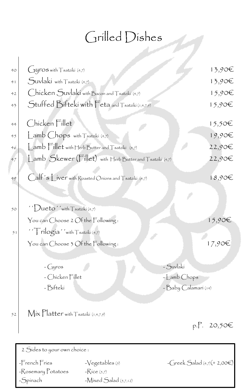# Grilled Dishes

| 40     | Gyros with Tsatziki (4,7)                                                                                                     | 13,90€                                            |
|--------|-------------------------------------------------------------------------------------------------------------------------------|---------------------------------------------------|
| 41     | Suvlakí with Tsatziki (4,7)                                                                                                   | 13,90€                                            |
| 42     | Chicken Suvlaki with Bacon and Tsatziki (4,7)                                                                                 | 15,90€                                            |
| 43     | Stuffed Bifteki with Feta and Tsatziki (1,4,7,9)                                                                              | 15,90€                                            |
| $44 -$ | Chicken Fillet                                                                                                                | 15,50€                                            |
| 45     | Lamb Chops with Tsatziki (4,7)                                                                                                | 19,90€                                            |
| 46     | Lamb Fillet with Herb Butter and Tsatziki (4,7)                                                                               | 22,90€                                            |
| 47     | Lamb Skewer (Fillet) with Herb Butter and Tsatziki (4,7)                                                                      | 22,90€                                            |
| 49     | Calf's Liver with Roasted Onions and Tsatziki (4,7)                                                                           | 18,90E                                            |
| 50     | $'$ ' <i>Queto'</i> 'with $\top$ satziki (4,7)                                                                                |                                                   |
|        | You can Choose 2 Of the Following:                                                                                            | 15,90€                                            |
| 51     | $\sqrt{\int r i log(a'')$ with $\int$ satziki (4,7)                                                                           |                                                   |
|        | You can Choose 3 Of the Following:                                                                                            | 17,90€                                            |
|        | - Lyros<br>- Chicken Fillet<br>- Bifteki                                                                                      | - Suvlakí<br>$-LambChops$<br>- Baby Calamarí (14) |
| 52     | $Mix$ Platter with $T$ satziki (1,4,7,9)                                                                                      | p.P. 20,50€                                       |
|        | 2 Sides to your own choice :                                                                                                  |                                                   |
|        | -French Fries<br>$-\sqrt{\text{egetables}(5)}$<br>-Rosemary Potatoes<br>$-Rice(5,7)$<br>$-Mixed$ Salad $(5,7,12)$<br>-Spinach | $-C$ reek $S$ alad $(+,7)(+2,00)$                 |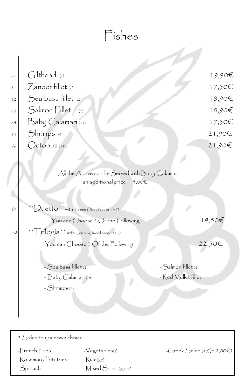|    | Fishes                                                                        |                     |             |
|----|-------------------------------------------------------------------------------|---------------------|-------------|
|    |                                                                               |                     |             |
| 60 | $\int$ ilthead (2)                                                            |                     | $19,90$ €   |
| 61 | Zander fillet (2)                                                             |                     | 17,50€      |
| 62 | Sea bass fillet (2)                                                           |                     | 18,90E      |
| 63 | Salmon Fillet<br>(2)                                                          |                     | $18,90 \in$ |
| 64 | Baby Calamarí (14)                                                            |                     | 17,50€      |
| 65 | Shrimps (3)                                                                   |                     | 21,90E      |
| 66 | Octopus (14)                                                                  |                     | 21,90E      |
|    |                                                                               |                     |             |
|    | All the Above can be Served with Baby Calamarí<br>an additional price $+5,00$ |                     |             |
| 67 | Duetto' with Lemon-Oiveoil sauce (4,7)                                        |                     |             |
|    | You can Choose 2 Of the $\mathop{\mathsf{Fol}}\nolimits$ owing :              |                     | 19,50€      |
| 68 | rilogia'' with Lemon-Oiveoil sauce (4,7)                                      |                     |             |
|    | You can Choose 3 Of the Following:                                            |                     | 22,50€      |
|    |                                                                               |                     |             |
|    | - Sea bass fillet (2)                                                         | - Salmon fillet (2) |             |
|    | - Baby Calamarí (14)                                                          | - Red Mullet fillet |             |
|    | - Shrimps (7)                                                                 |                     |             |
|    |                                                                               |                     |             |
|    |                                                                               |                     |             |

2 Sides to your own choice :

 $-R$ osemary Potatoes  $-Rice(5,7)$ 

-Spinach -Mixed Salad (5,7,12)

 $-F$ rench Fries  $-\sqrt{\text{egetables}}(5)$  -Greek Salad (4,7)(+ 2,00€)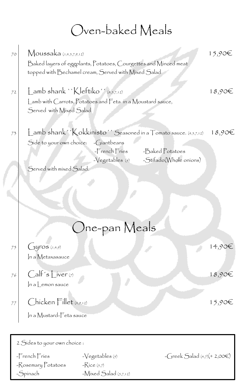#### Oven-baked Meals

| 70 | Moussaka $(1,4,5,7,9,12)$<br>Baked layers of eggplants, Potatoes, Courgettes and Minced meat<br>topped with Bechamel cream, Served with Mixed Salad |                                              |                                                                  | 15,90€ |
|----|-----------------------------------------------------------------------------------------------------------------------------------------------------|----------------------------------------------|------------------------------------------------------------------|--------|
| 72 | $\mathsf{L}$ amb shank `` $\mathsf{K}$ leftiko'' (4,5,7,12)<br>Lamb with Carrots, Potatoes and Feta in a Moustard sauce,<br>Served with Mixed Salad |                                              |                                                                  | 18,90E |
| 73 |                                                                                                                                                     |                                              | Lamb shank'' Kokkinisto'' Seasoned in a Tomato sauce. (4,5,7,12) | 18,90€ |
|    | Side to your own choice: - Giantbeans                                                                                                               | $-$ French Fries<br>$-\sqrt{e}$ getables (5) | -Baked Potatoes<br>-Stifado(Whole onions)                        |        |
|    | Served with mixed Salad.                                                                                                                            |                                              |                                                                  |        |
|    |                                                                                                                                                     |                                              |                                                                  |        |
|    |                                                                                                                                                     |                                              |                                                                  |        |
|    |                                                                                                                                                     |                                              |                                                                  |        |
|    |                                                                                                                                                     |                                              |                                                                  |        |
|    |                                                                                                                                                     | One-pan Meals                                |                                                                  |        |
| 75 | $14$ ros $(i, 4, 9)$<br>In a Metaxasauce                                                                                                            |                                              |                                                                  | 14,90€ |
| 76 | $Calf's \text{Liver}(7)$                                                                                                                            |                                              |                                                                  | 18,90E |
|    | $\ln a$ emon sauce                                                                                                                                  |                                              |                                                                  |        |
| 77 | $Chicken$ Fillet $(4,9,12)$                                                                                                                         |                                              |                                                                  | 15,90€ |
|    | In a Mustard-Feta sauce                                                                                                                             |                                              |                                                                  |        |
|    |                                                                                                                                                     |                                              |                                                                  |        |
|    | 2 Sides to your own choice :                                                                                                                        |                                              |                                                                  |        |
|    | -French Fries                                                                                                                                       | $-\sqrt{egetables(s)}$                       | $-Greek$ Salad $(4,7)(+2,00)$                                    |        |
|    | -Rosemary Potatoes                                                                                                                                  | $-Rice(5,7)$                                 |                                                                  |        |
|    | -Spinach                                                                                                                                            | $-Mixed$ Salad $(5,7,12)$                    |                                                                  |        |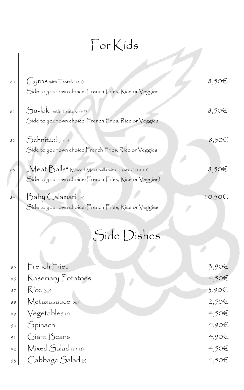#### For Kids

| $80^{\circ}$ | Gyros with Tsatziki (4,7).                                   | 8,50 <sup>6</sup> |
|--------------|--------------------------------------------------------------|-------------------|
|              | Side to your own choice: French Fries, Rice or Veggies       |                   |
| 81           | Suvlakí with Tsatziki (4,7)                                  | $8,50 \in$        |
|              | Side to your own choice: French Fries, Rice or Veggies       |                   |
| 82           | $S$ chnitzel $_{(1,4,9)}$                                    | $8,50$ €          |
|              | Side to your own choice: French Fries, Rice or Veggies       |                   |
| 83           | "Meat Balls" Minced Meat balls with $\top$ satziki (1,4,7,9) | $8,50 \in$        |
|              | Side to your own choice: French Fries, Rice or Veggies)      |                   |
| 84           | Baby Calamarí (14)                                           | 10,50€            |
|              | Side to your own choice: French Fries, Rice or Veggies       |                   |

### Side Dishes

| 85                     | French Fries                  | 3,90€             |
|------------------------|-------------------------------|-------------------|
| 86                     | Rosemary-Potatoes             | $4,50$ €          |
| 87                     | $Rice_{(5,7)}$                | 3,90€             |
| $\mathcal S\mathcal S$ | Metaxasauce (4,7)             | 2,50 <sup>€</sup> |
| 89                     | $\sqrt{\text{e}$ getables (5) | 4,50€             |
| 90                     | Spinach                       | $4,90 \in$        |
| 91                     | Giant Beans                   | $4,90 \in$        |
| 92                     | Mixed Salad (6,7,12)          | 4,50€             |
| 93                     | Cabbage Salad (7)             | $4,50$ €          |
|                        |                               |                   |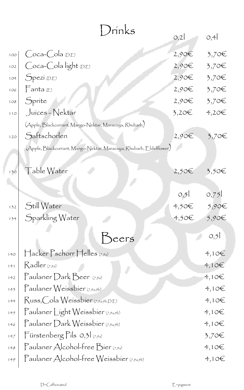| Drínks |                                                                     |                           |                   |
|--------|---------------------------------------------------------------------|---------------------------|-------------------|
|        |                                                                     | O,2                       | O, 4              |
| 100    | Coca-Cola <sub>(D.E)</sub>                                          | $2,90$ €                  | 3,70€             |
| 102    | Coca-Cola light D.E                                                 | $2,90$ €                  | 3,70€             |
| 104    | Spezí (D,E)                                                         | $2,90$ €                  | 3,70€             |
| 106    | $\frac{1}{2}$ anta (E)                                              | $2,90\epsilon$            | 3,70€             |
| 108    | Sprite                                                              | $2,90 \in$                | 3,70€             |
| 110    | Juices - Nektar                                                     | $3,20$ €                  | $4,20$ €          |
|        | (Apple, Blackcurrant, Mango-Nektar, Maracuya, Rhubarb)              |                           |                   |
| 120    | Saftschorlen                                                        | 2,90€                     | 3,70€             |
|        | (Apple, Blackcurrant, Mango-Nektar, Maracuya, Rhubarb, Eldelflower) |                           |                   |
|        |                                                                     |                           |                   |
| 130    | Table Water                                                         | 2,50€                     | 3,50€             |
|        |                                                                     |                           |                   |
|        |                                                                     | O <sub>2</sub>            | 0,75              |
| 132    | Still Water                                                         | $4,50$ $\in$ $5,90$ $\in$ |                   |
| 134    | Sparkling Water                                                     | $4,50$ €                  | 5,90€             |
|        |                                                                     |                           | 0,5               |
|        | eers                                                                |                           |                   |
| 140    | $\bigcap$ acker $\bigcap$ schorr $\bigcap$ elles $_{(7,9a)}$        |                           | 4,10E             |
| 141    | $Rader_{(7,9a)}$                                                    |                           | 4,106             |
| 142    | Paulaner Dark Beer $(7,9a)$                                         |                           | 4,10 <sup>2</sup> |
| 143    | Paulaner Weissbier (7,9a,9b)                                        |                           | 4,10E             |
| 144    | Russ, Cola Weissbier (7,9a,9b, D.E)                                 |                           | 4,10E             |
| 145    | Paulaner Light Weissbier (7,9a,9b)                                  |                           | 4,10E             |
| 146    | $\Gamma$ aulaner Dark Weissbier (7,9a,9b)                           |                           | 4,10E             |
| 147    | Fürstenberg Pils 0,31 (7,9a)                                        |                           | $3,70$ €          |
| 148    | Paulaner Alcohol-free Bier (7,9a)                                   |                           | 4,10E             |
| 149    | Paulaner Alcohol-free Weissbier (7,9a,9b)                           |                           | 4,10E             |